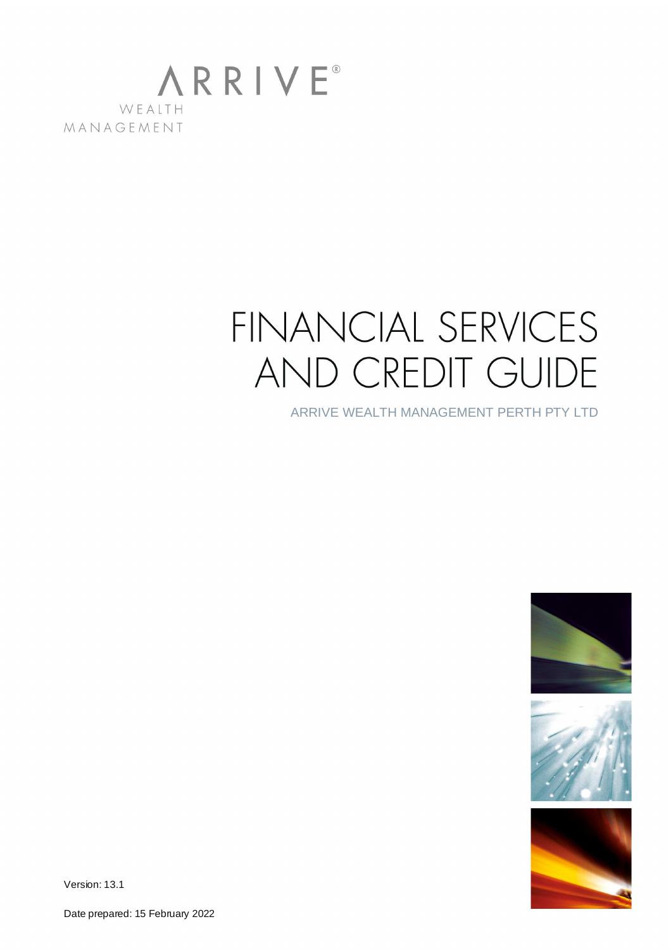

# FINANCIAL SERVICES AND CREDIT GUIDE

ARRIVE WEALTH MANAGEMENT PERTH PTY LTD







Version: 13.1

Date prepared: 15 February 2022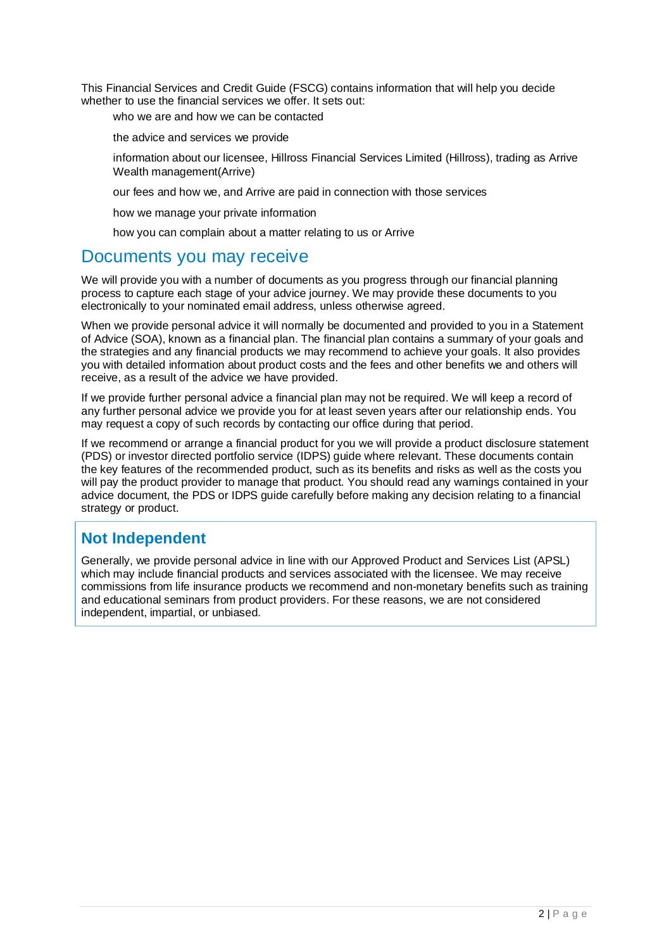This Financial Services and Credit Guide (FSCG) contains information that will help you decide whether to use the financial services we offer. It sets out:

- who we are and how we can be contacted
- the advice and services we provide
- information about our licensee, Hillross Financial Services Limited (Hillross), trading as Arrive Wealth management(Arrive)
- our fees and how we, and Arrive are paid in connection with those services
- how we manage your private information
- how you can complain about a matter relating to us or Arrive

### Documents you may receive

We will provide you with a number of documents as you progress through our financial planning process to capture each stage of your advice journey. We may provide these documents to you electronically to your nominated email address, unless otherwise agreed.

When we provide personal advice it will normally be documented and provided to you in a Statement of Advice (SOA), known as a financial plan. The financial plan contains a summary of your goals and the strategies and any financial products we may recommend to achieve your goals. It also provides you with detailed information about product costs and the fees and other benefits we and others will receive, as a result of the advice we have provided.

If we provide further personal advice a financial plan may not be required. We will keep a record of any further personal advice we provide you for at least seven years after our relationship ends. You may request a copy of such records by contacting our office during that period.

If we recommend or arrange a financial product for you we will provide a product disclosure statement (PDS) or investor directed portfolio service (IDPS) guide where relevant. These documents contain the key features of the recommended product, such as its benefits and risks as well as the costs you will pay the product provider to manage that product. You should read any warnings contained in your advice document, the PDS or IDPS guide carefully before making any decision relating to a financial strategy or product.

### **Not Independent**

Generally, we provide personal advice in line with our Approved Product and Services List (APSL) which may include financial products and services associated with the licensee. We may receive commissions from life insurance products we recommend and non-monetary benefits such as training and educational seminars from product providers. For these reasons, we are not considered independent, impartial, or unbiased.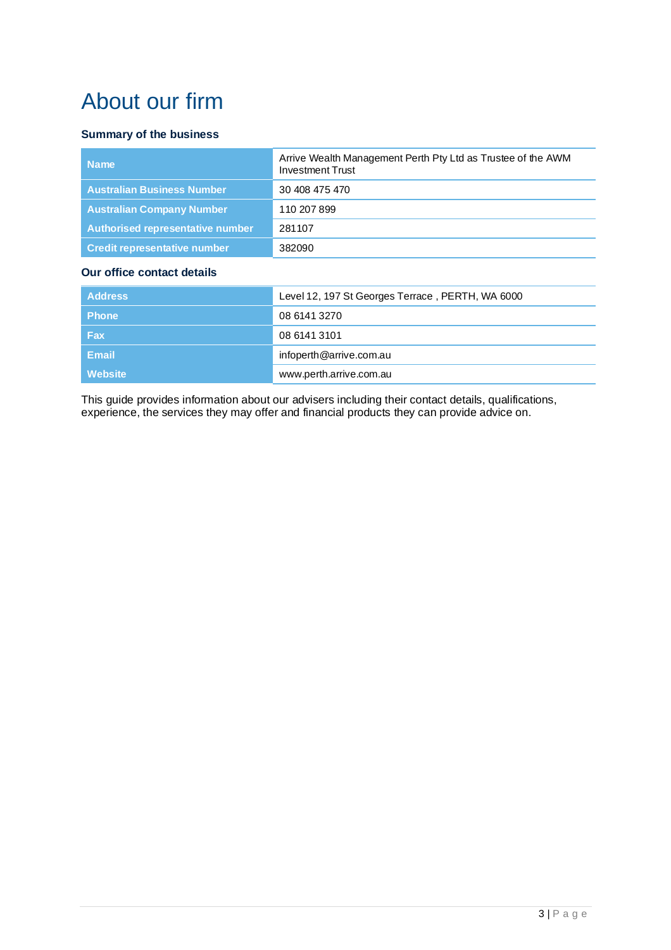## About our firm

#### **Summary of the business**

| Arrive Wealth Management Perth Pty Ltd as Trustee of the AWM<br><b>Investment Trust</b> |
|-----------------------------------------------------------------------------------------|
| 30 408 475 470                                                                          |
| 110 207 899                                                                             |
| 281107                                                                                  |
| 382090                                                                                  |
|                                                                                         |

### **Our office contact details**

| <b>Address</b> | Level 12, 197 St Georges Terrace, PERTH, WA 6000 |
|----------------|--------------------------------------------------|
| <b>Phone</b>   | 08 6141 3270                                     |
| Fax            | 08 6141 3101                                     |
| Email          | infoperth@arrive.com.au                          |
| Website        | www.perth.arrive.com.au                          |

This guide provides information about our advisers including their contact details, qualifications, experience, the services they may offer and financial products they can provide advice on.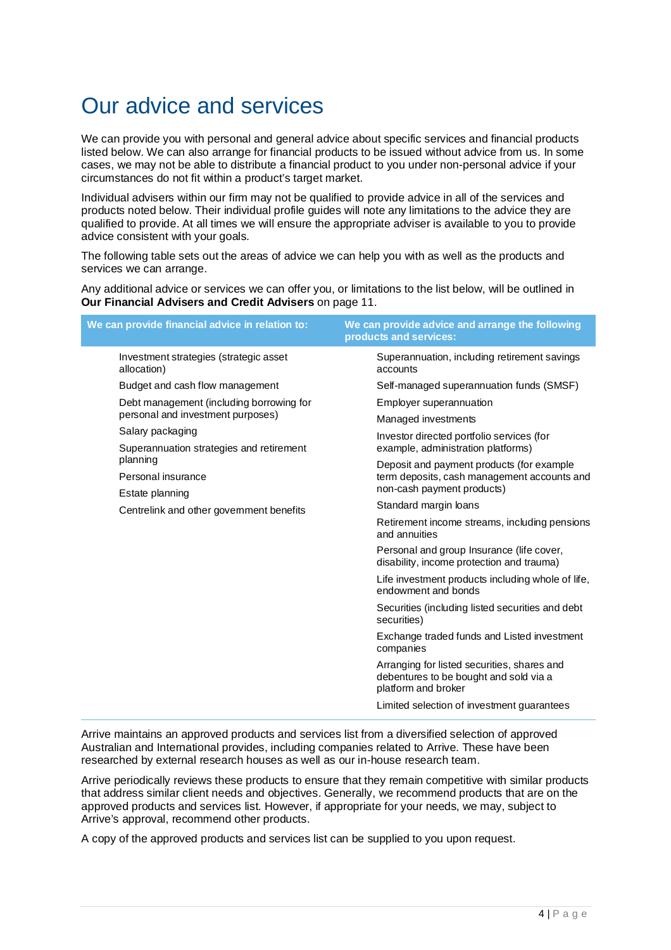## Our advice and services

We can provide you with personal and general advice about specific services and financial products listed below. We can also arrange for financial products to be issued without advice from us. In some cases, we may not be able to distribute a financial product to you under non-personal advice if your circumstances do not fit within a product's target market.

Individual advisers within our firm may not be qualified to provide advice in all of the services and products noted below. Their individual profile guides will note any limitations to the advice they are qualified to provide. At all times we will ensure the appropriate adviser is available to you to provide advice consistent with your goals.

The following table sets out the areas of advice we can help you with as well as the products and services we can arrange.

Any additional advice or services we can offer you, or limitations to the list below, will be outlined in **Our Financial Advisers and Credit Advisers** on page 11.

|                                                                                                | We can provide financial advice in relation to:                                                              | We can provide advice and arrange the following<br>products and services:              |
|------------------------------------------------------------------------------------------------|--------------------------------------------------------------------------------------------------------------|----------------------------------------------------------------------------------------|
|                                                                                                | Investment strategies (strategic asset<br>allocation)                                                        | Superannuation, including retirement savings<br>accounts                               |
|                                                                                                | Budget and cash flow management                                                                              | Self-managed superannuation funds (SMSF)                                               |
| Debt management (including borrowing for                                                       |                                                                                                              | Employer superannuation                                                                |
|                                                                                                | personal and investment purposes)                                                                            | Managed investments                                                                    |
| Salary packaging<br>Superannuation strategies and retirement<br>planning<br>Personal insurance |                                                                                                              | Investor directed portfolio services (for                                              |
|                                                                                                | example, administration platforms)                                                                           |                                                                                        |
|                                                                                                | Deposit and payment products (for example<br>term deposits, cash management accounts and                     |                                                                                        |
|                                                                                                |                                                                                                              | non-cash payment products)                                                             |
| Estate planning<br>Centrelink and other government benefits                                    |                                                                                                              | Standard margin loans                                                                  |
|                                                                                                | Retirement income streams, including pensions<br>and annuities                                               |                                                                                        |
|                                                                                                |                                                                                                              | Personal and group Insurance (life cover,<br>disability, income protection and trauma) |
|                                                                                                | Life investment products including whole of life,<br>endowment and bonds                                     |                                                                                        |
|                                                                                                | Securities (including listed securities and debt<br>securities)                                              |                                                                                        |
|                                                                                                | Exchange traded funds and Listed investment<br>companies                                                     |                                                                                        |
|                                                                                                | Arranging for listed securities, shares and<br>debentures to be bought and sold via a<br>platform and broker |                                                                                        |
|                                                                                                | Limited selection of investment guarantees                                                                   |                                                                                        |

Arrive maintains an approved products and services list from a diversified selection of approved Australian and International provides, including companies related to Arrive. These have been researched by external research houses as well as our in-house research team.

Arrive periodically reviews these products to ensure that they remain competitive with similar products that address similar client needs and objectives. Generally, we recommend products that are on the approved products and services list. However, if appropriate for your needs, we may, subject to Arrive's approval, recommend other products.

A copy of the approved products and services list can be supplied to you upon request.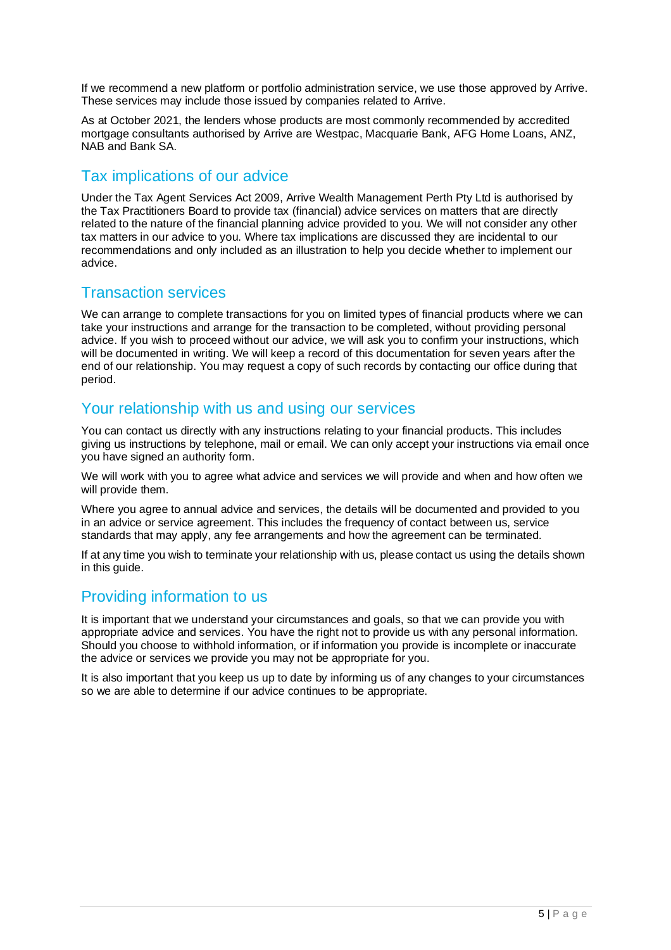If we recommend a new platform or portfolio administration service, we use those approved by Arrive. These services may include those issued by companies related to Arrive.

As at October 2021, the lenders whose products are most commonly recommended by accredited mortgage consultants authorised by Arrive are Westpac, Macquarie Bank, AFG Home Loans, ANZ, NAB and Bank SA.

### Tax implications of our advice

Under the Tax Agent Services Act 2009, Arrive Wealth Management Perth Pty Ltd is authorised by the Tax Practitioners Board to provide tax (financial) advice services on matters that are directly related to the nature of the financial planning advice provided to you. We will not consider any other tax matters in our advice to you. Where tax implications are discussed they are incidental to our recommendations and only included as an illustration to help you decide whether to implement our advice.

### Transaction services

We can arrange to complete transactions for you on limited types of financial products where we can take your instructions and arrange for the transaction to be completed, without providing personal advice. If you wish to proceed without our advice, we will ask you to confirm your instructions, which will be documented in writing. We will keep a record of this documentation for seven years after the end of our relationship. You may request a copy of such records by contacting our office during that period.

### Your relationship with us and using our services

You can contact us directly with any instructions relating to your financial products. This includes giving us instructions by telephone, mail or email. We can only accept your instructions via email once you have signed an authority form.

We will work with you to agree what advice and services we will provide and when and how often we will provide them.

Where you agree to annual advice and services, the details will be documented and provided to you in an advice or service agreement. This includes the frequency of contact between us, service standards that may apply, any fee arrangements and how the agreement can be terminated.

If at any time you wish to terminate your relationship with us, please contact us using the details shown in this guide.

### Providing information to us

It is important that we understand your circumstances and goals, so that we can provide you with appropriate advice and services. You have the right not to provide us with any personal information. Should you choose to withhold information, or if information you provide is incomplete or inaccurate the advice or services we provide you may not be appropriate for you.

It is also important that you keep us up to date by informing us of any changes to your circumstances so we are able to determine if our advice continues to be appropriate.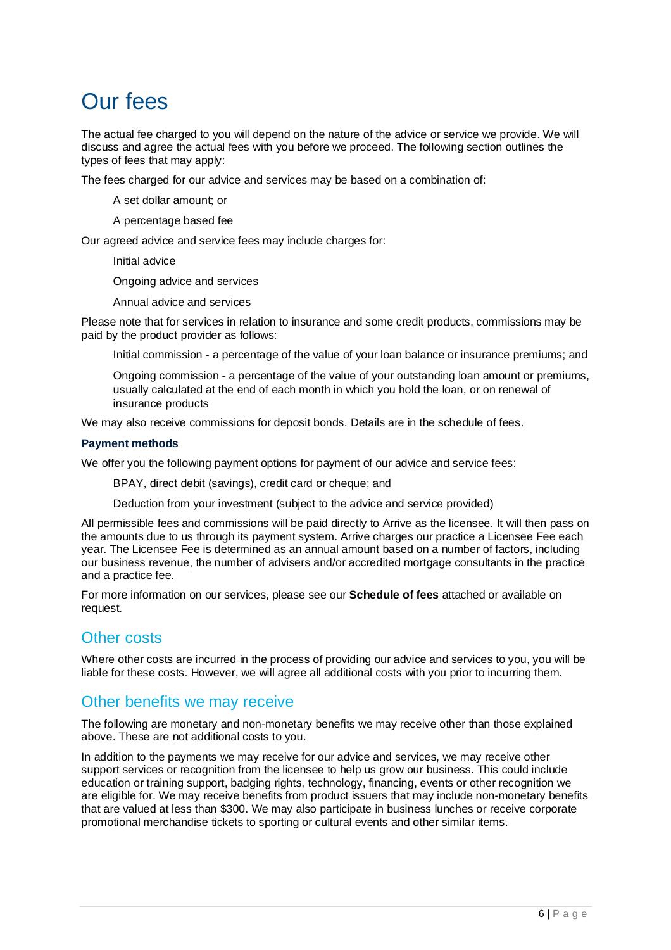## Our fees

The actual fee charged to you will depend on the nature of the advice or service we provide. We will discuss and agree the actual fees with you before we proceed. The following section outlines the types of fees that may apply:

The fees charged for our advice and services may be based on a combination of:

- A set dollar amount; or
- A percentage based fee

Our agreed advice and service fees may include charges for:

- Initial advice
- Ongoing advice and services
- Annual advice and services

Please note that for services in relation to insurance and some credit products, commissions may be paid by the product provider as follows:

- Initial commission a percentage of the value of your loan balance or insurance premiums; and
- Ongoing commission a percentage of the value of your outstanding loan amount or premiums, usually calculated at the end of each month in which you hold the loan, or on renewal of insurance products

We may also receive commissions for deposit bonds. Details are in the schedule of fees.

#### **Payment methods**

We offer you the following payment options for payment of our advice and service fees:

- BPAY, direct debit (savings), credit card or cheque; and
- Deduction from your investment (subject to the advice and service provided)

All permissible fees and commissions will be paid directly to Arrive as the licensee. It will then pass on the amounts due to us through its payment system. Arrive charges our practice a Licensee Fee each year. The Licensee Fee is determined as an annual amount based on a number of factors, including our business revenue, the number of advisers and/or accredited mortgage consultants in the practice and a practice fee.

For more information on our services, please see our **Schedule of fees** attached or available on request.

### Other costs

Where other costs are incurred in the process of providing our advice and services to you, you will be liable for these costs. However, we will agree all additional costs with you prior to incurring them.

### Other benefits we may receive

The following are monetary and non-monetary benefits we may receive other than those explained above. These are not additional costs to you.

In addition to the payments we may receive for our advice and services, we may receive other support services or recognition from the licensee to help us grow our business. This could include education or training support, badging rights, technology, financing, events or other recognition we are eligible for. We may receive benefits from product issuers that may include non-monetary benefits that are valued at less than \$300. We may also participate in business lunches or receive corporate promotional merchandise tickets to sporting or cultural events and other similar items.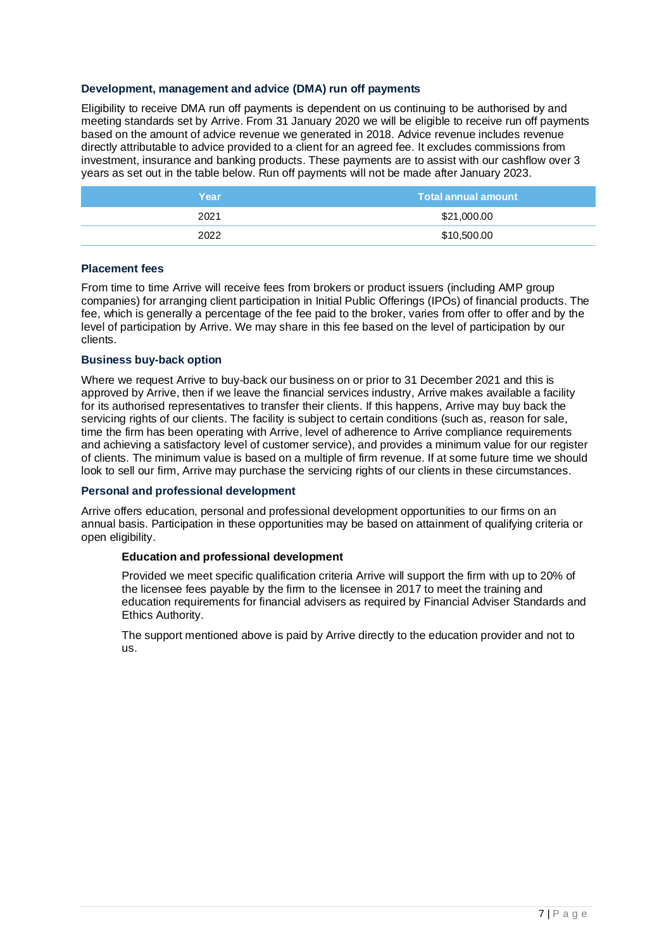#### **Development, management and advice (DMA) run off payments**

Eligibility to receive DMA run off payments is dependent on us continuing to be authorised by and meeting standards set by Arrive. From 31 January 2020 we will be eligible to receive run off payments based on the amount of advice revenue we generated in 2018. Advice revenue includes revenue directly attributable to advice provided to a client for an agreed fee. It excludes commissions from investment, insurance and banking products. These payments are to assist with our cashflow over 3 years as set out in the table below. Run off payments will not be made after January 2023.

| Year | Total annual amount |
|------|---------------------|
| 2021 | \$21,000.00         |
| 2022 | \$10,500.00         |

#### **Placement fees**

From time to time Arrive will receive fees from brokers or product issuers (including AMP group companies) for arranging client participation in Initial Public Offerings (IPOs) of financial products. The fee, which is generally a percentage of the fee paid to the broker, varies from offer to offer and by the level of participation by Arrive. We may share in this fee based on the level of participation by our clients.

#### **Business buy-back option**

Where we request Arrive to buy-back our business on or prior to 31 December 2021 and this is approved by Arrive, then if we leave the financial services industry, Arrive makes available a facility for its authorised representatives to transfer their clients. If this happens, Arrive may buy back the servicing rights of our clients. The facility is subject to certain conditions (such as, reason for sale, time the firm has been operating with Arrive, level of adherence to Arrive compliance requirements and achieving a satisfactory level of customer service), and provides a minimum value for our register of clients. The minimum value is based on a multiple of firm revenue. If at some future time we should look to sell our firm, Arrive may purchase the servicing rights of our clients in these circumstances.

#### **Personal and professional development**

Arrive offers education, personal and professional development opportunities to our firms on an annual basis. Participation in these opportunities may be based on attainment of qualifying criteria or open eligibility.

#### **Education and professional development**

Provided we meet specific qualification criteria Arrive will support the firm with up to 20% of the licensee fees payable by the firm to the licensee in 2017 to meet the training and education requirements for financial advisers as required by Financial Adviser Standards and Ethics Authority.

The support mentioned above is paid by Arrive directly to the education provider and not to us.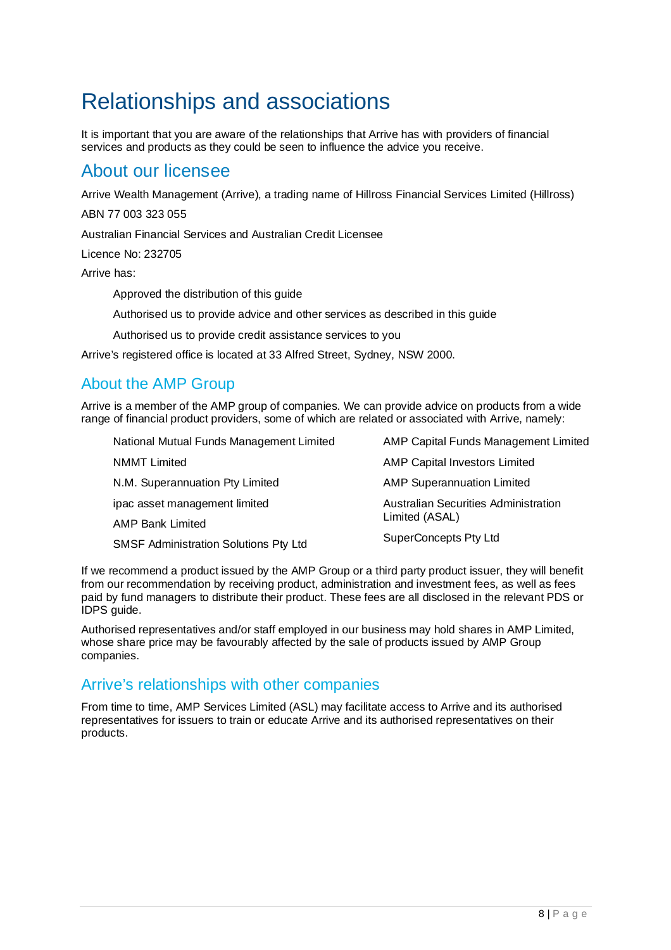## Relationships and associations

It is important that you are aware of the relationships that Arrive has with providers of financial services and products as they could be seen to influence the advice you receive.

### About our licensee

Arrive Wealth Management (Arrive), a trading name of Hillross Financial Services Limited (Hillross)

ABN 77 003 323 055

Australian Financial Services and Australian Credit Licensee

Licence No: 232705

Arrive has:

- Approved the distribution of this guide
- Authorised us to provide advice and other services as described in this guide
- Authorised us to provide credit assistance services to you

Arrive's registered office is located at 33 Alfred Street, Sydney, NSW 2000.

### About the AMP Group

Arrive is a member of the AMP group of companies. We can provide advice on products from a wide range of financial product providers, some of which are related or associated with Arrive, namely:

- National Mutual Funds Management Limited NMMT Limited N.M. Superannuation Pty Limited AMP Capital Funds Management Limited AMP Capital Investors Limited AMP Superannuation Limited
- ipac asset management limited AMP Bank Limited Australian Securities Administration Limited (ASAL) SuperConcepts Pty Ltd
- SMSF Administration Solutions Pty Ltd

If we recommend a product issued by the AMP Group or a third party product issuer, they will benefit from our recommendation by receiving product, administration and investment fees, as well as fees paid by fund managers to distribute their product. These fees are all disclosed in the relevant PDS or IDPS guide.

Authorised representatives and/or staff employed in our business may hold shares in AMP Limited, whose share price may be favourably affected by the sale of products issued by AMP Group companies.

### Arrive's relationships with other companies

From time to time, AMP Services Limited (ASL) may facilitate access to Arrive and its authorised representatives for issuers to train or educate Arrive and its authorised representatives on their products.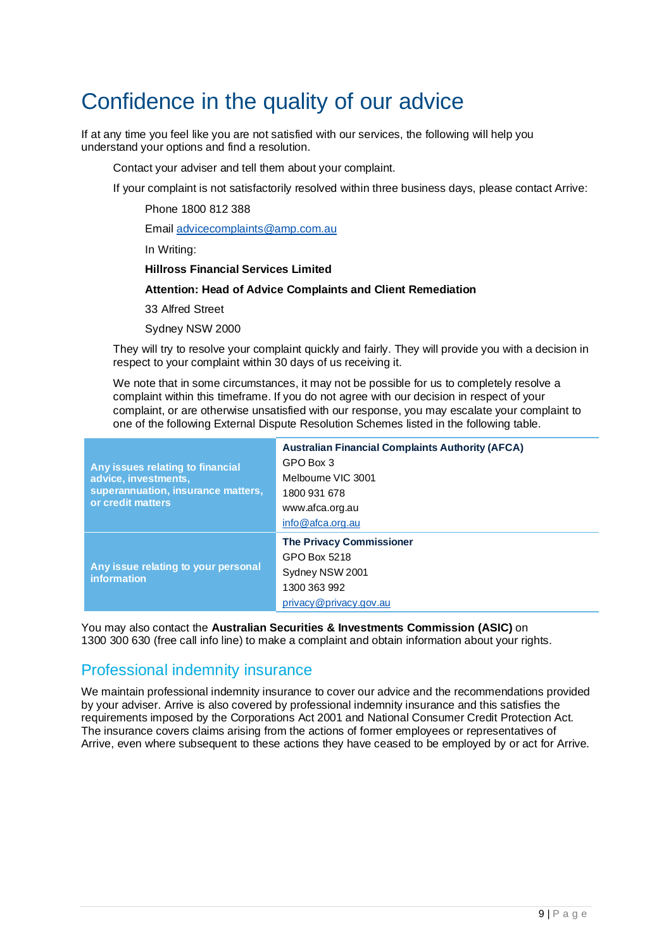## Confidence in the quality of our advice

If at any time you feel like you are not satisfied with our services, the following will help you understand your options and find a resolution.

- Contact your adviser and tell them about your complaint.
- If your complaint is not satisfactorily resolved within three business days, please contact Arrive:
	- Phone 1800 812 388
	- Email advicecomplaints@amp.com.au
	- In Writing:
		- **Hillross Financial Services Limited**
		- **Attention: Head of Advice Complaints and Client Remediation**
		- 33 Alfred Street
		- Sydney NSW 2000
- They will try to resolve your complaint quickly and fairly. They will provide you with a decision in respect to your complaint within 30 days of us receiving it.
- We note that in some circumstances, it may not be possible for us to completely resolve a complaint within this timeframe. If you do not agree with our decision in respect of your complaint, or are otherwise unsatisfied with our response, you may escalate your complaint to one of the following External Dispute Resolution Schemes listed in the following table.

| Any issues relating to financial<br>advice, investments,<br>superannuation, insurance matters,<br>or credit matters | <b>Australian Financial Complaints Authority (AFCA)</b><br>GPO Box 3<br>Melbourne VIC 3001<br>1800 931 678<br>www.afca.org.au<br>info@afca.org.au |
|---------------------------------------------------------------------------------------------------------------------|---------------------------------------------------------------------------------------------------------------------------------------------------|
| Any issue relating to your personal<br><b>information</b>                                                           | <b>The Privacy Commissioner</b><br>GPO Box 5218<br>Sydney NSW 2001<br>1300 363 992<br>privacy@privacy.gov.au                                      |

You may also contact the **Australian Securities & Investments Commission (ASIC)** on 1300 300 630 (free call info line) to make a complaint and obtain information about your rights.

### Professional indemnity insurance

We maintain professional indemnity insurance to cover our advice and the recommendations provided by your adviser. Arrive is also covered by professional indemnity insurance and this satisfies the requirements imposed by the Corporations Act 2001 and National Consumer Credit Protection Act. The insurance covers claims arising from the actions of former employees or representatives of Arrive, even where subsequent to these actions they have ceased to be employed by or act for Arrive.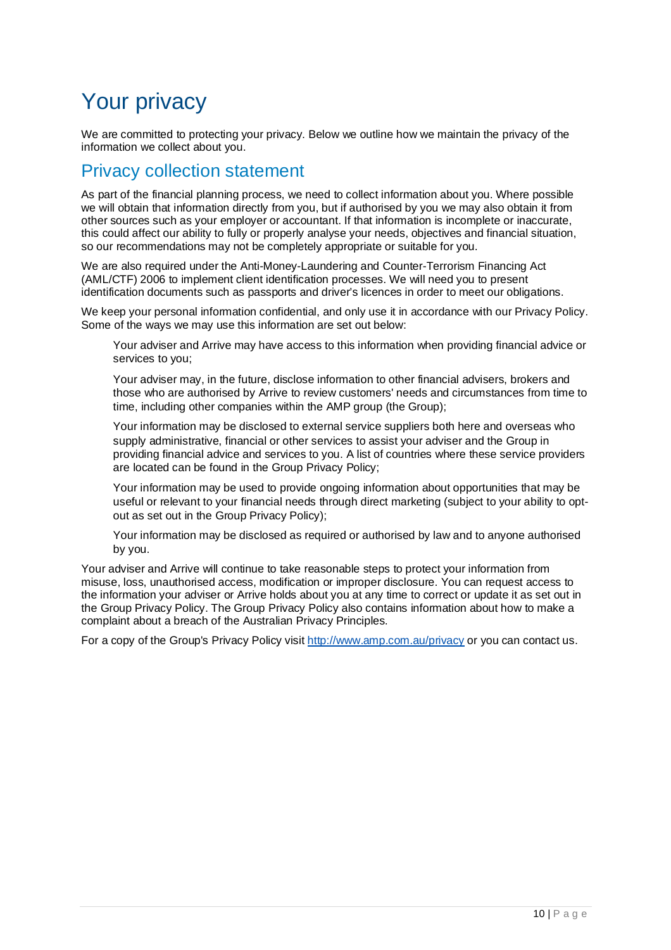## Your privacy

We are committed to protecting your privacy. Below we outline how we maintain the privacy of the information we collect about you.

### Privacy collection statement

As part of the financial planning process, we need to collect information about you. Where possible we will obtain that information directly from you, but if authorised by you we may also obtain it from other sources such as your employer or accountant. If that information is incomplete or inaccurate, this could affect our ability to fully or properly analyse your needs, objectives and financial situation, so our recommendations may not be completely appropriate or suitable for you.

We are also required under the Anti-Money-Laundering and Counter-Terrorism Financing Act (AML/CTF) 2006 to implement client identification processes. We will need you to present identification documents such as passports and driver's licences in order to meet our obligations.

We keep your personal information confidential, and only use it in accordance with our Privacy Policy. Some of the ways we may use this information are set out below:

- Your adviser and Arrive may have access to this information when providing financial advice or services to you;
- Your adviser may, in the future, disclose information to other financial advisers, brokers and those who are authorised by Arrive to review customers' needs and circumstances from time to time, including other companies within the AMP group (the Group);
- Your information may be disclosed to external service suppliers both here and overseas who supply administrative, financial or other services to assist your adviser and the Group in providing financial advice and services to you. A list of countries where these service providers are located can be found in the Group Privacy Policy;
- Your information may be used to provide ongoing information about opportunities that may be useful or relevant to your financial needs through direct marketing (subject to your ability to optout as set out in the Group Privacy Policy);
- Your information may be disclosed as required or authorised by law and to anyone authorised by you.

Your adviser and Arrive will continue to take reasonable steps to protect your information from misuse, loss, unauthorised access, modification or improper disclosure. You can request access to the information your adviser or Arrive holds about you at any time to correct or update it as set out in the Group Privacy Policy. The Group Privacy Policy also contains information about how to make a complaint about a breach of the Australian Privacy Principles.

For a copy of the Group's Privacy Policy visit http://www.amp.com.au/privacy or you can contact us.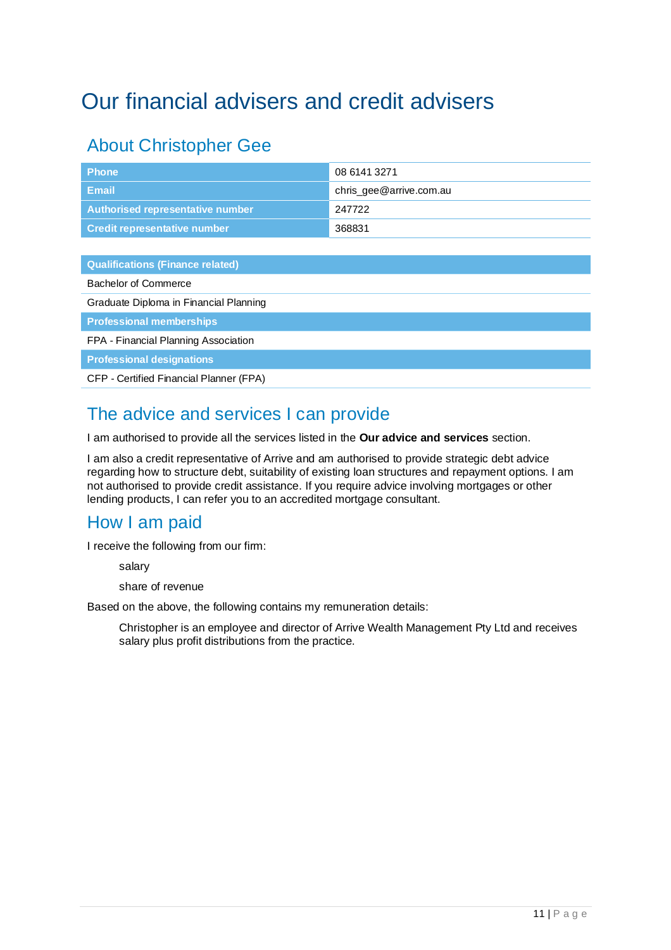## Our financial advisers and credit advisers

## About Christopher Gee

| <b>Phone</b>                            | 08 6141 3271            |
|-----------------------------------------|-------------------------|
| <b>Email</b>                            | chris_gee@arrive.com.au |
| <b>Authorised representative number</b> | 247722                  |
| <b>Credit representative number</b>     | 368831                  |
|                                         |                         |
| <b>Qualifications (Finance related)</b> |                         |
| Bachelor of Commerce                    |                         |
| Graduate Diploma in Financial Planning  |                         |

**Professional memberships** 

FPA - Financial Planning Association

**Professional designations** 

CFP - Certified Financial Planner (FPA)

## The advice and services I can provide

I am authorised to provide all the services listed in the **Our advice and services** section.

I am also a credit representative of Arrive and am authorised to provide strategic debt advice regarding how to structure debt, suitability of existing loan structures and repayment options. I am not authorised to provide credit assistance. If you require advice involving mortgages or other lending products, I can refer you to an accredited mortgage consultant.

### How I am paid

I receive the following from our firm:

- salary
- share of revenue

Based on the above, the following contains my remuneration details:

 Christopher is an employee and director of Arrive Wealth Management Pty Ltd and receives salary plus profit distributions from the practice.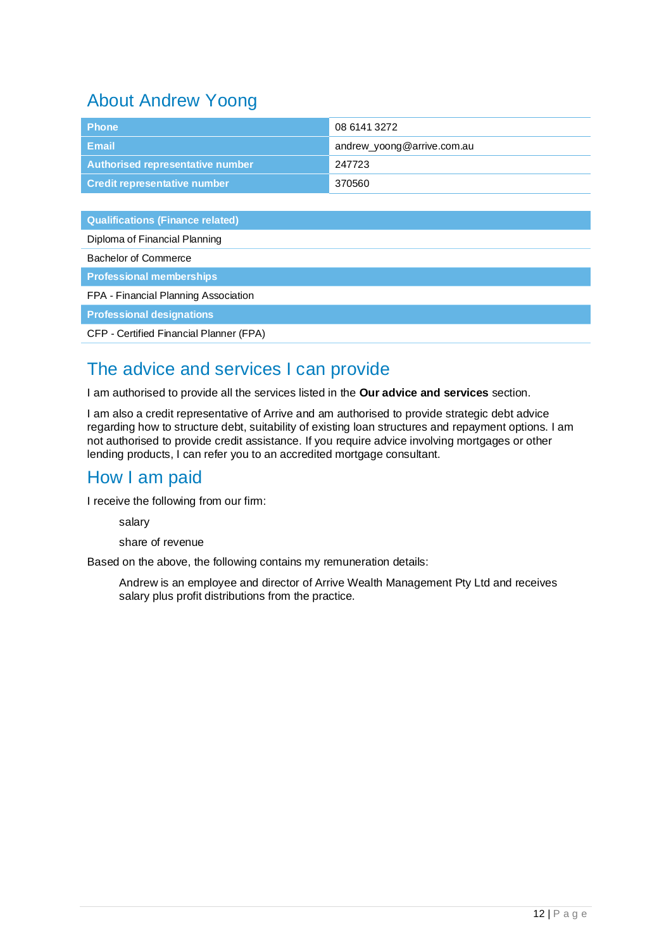## About Andrew Yoong

| <b>Phone</b>                        | 08 6141 3272               |
|-------------------------------------|----------------------------|
| <b>Email</b>                        | andrew_yoong@arrive.com.au |
| Authorised representative number    | 247723                     |
| <b>Credit representative number</b> | 370560                     |

**Qualifications (Finance related)** 

| Diploma of Financial Planning           |
|-----------------------------------------|
| Bachelor of Commerce                    |
| <b>Professional memberships</b>         |
| FPA - Financial Planning Association    |
| <b>Professional designations</b>        |
| CFP - Certified Financial Planner (FPA) |

## The advice and services I can provide

I am authorised to provide all the services listed in the **Our advice and services** section.

I am also a credit representative of Arrive and am authorised to provide strategic debt advice regarding how to structure debt, suitability of existing loan structures and repayment options. I am not authorised to provide credit assistance. If you require advice involving mortgages or other lending products, I can refer you to an accredited mortgage consultant.

### How I am paid

I receive the following from our firm:

- salary
- share of revenue

Based on the above, the following contains my remuneration details:

 Andrew is an employee and director of Arrive Wealth Management Pty Ltd and receives salary plus profit distributions from the practice.